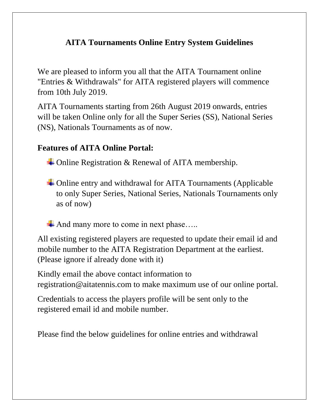## **AITA Tournaments Online Entry System Guidelines**

We are pleased to inform you all that the AITA Tournament online "Entries & Withdrawals" for AITA registered players will commence from 10th July 2019.

AITA Tournaments starting from 26th August 2019 onwards, entries will be taken Online only for all the Super Series (SS), National Series (NS), Nationals Tournaments as of now.

## **Features of AITA Online Portal:**

 $\triangle$  Online Registration & Renewal of AITA membership.

- $\div$  Online entry and withdrawal for AITA Tournaments (Applicable to only Super Series, National Series, Nationals Tournaments only as of now)
- And many more to come in next phase.....

All existing registered players are requested to update their email id and mobile number to the AITA Registration Department at the earliest. (Please ignore if already done with it)

Kindly email the above contact information to registration@aitatennis.com to make maximum use of our online portal.

Credentials to access the players profile will be sent only to the registered email id and mobile number.

Please find the below guidelines for online entries and withdrawal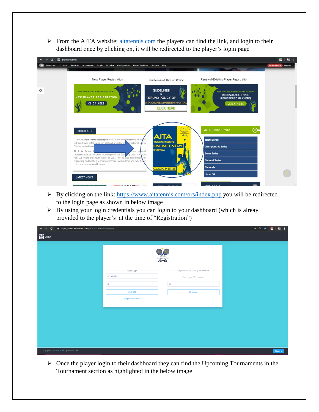➢ From the AITA website: [aitatennis.com](https://www.aitatennis.com/) the players can find the link, and login to their dashboard once by clicking on, it will be redirected to the player's login page

| $\mathbf{C}$ | aitatennis.com                                                                                                                                                                                                                                                                                                                                                                                                                                                                                                                                  | 老<br>$\blacksquare$ |
|--------------|-------------------------------------------------------------------------------------------------------------------------------------------------------------------------------------------------------------------------------------------------------------------------------------------------------------------------------------------------------------------------------------------------------------------------------------------------------------------------------------------------------------------------------------------------|---------------------|
|              | Dashboard Content Structure Appearance People Modules Configuration Home Top News Reports Help                                                                                                                                                                                                                                                                                                                                                                                                                                                  | Hello admin Log out |
|              | New Player Registration<br>Renewal/Existing Player Registration<br>Guidelines & Refund Policy                                                                                                                                                                                                                                                                                                                                                                                                                                                   |                     |
| 舂            | <b>GUIDELINES</b><br>AITA ONLINE MEMBERSHIP PORTAL<br>AITA ONLINE MEMBERSHIP PORTAL<br><b>RENEWAL/EXISTING</b><br>$\bullet$<br>NEW PLAYER REGISTRATION<br>REFUND POLICY OF<br><b>REGISTERED PLAYERS</b><br>AITA ONLINE MEMBERSHIP PORTAL<br>CLICK HERE<br><b>CLICK HERE</b><br><b>CLICK HERE</b>                                                                                                                                                                                                                                                |                     |
|              | ⊙–<br><b>AITA Junior Circuit</b><br><b>ABOUT AITA</b><br>$\frac{1}{2}$<br><b>AITA</b><br>The All India Tennis Association (AITA) is the governing body of ternis<br>$\bullet$<br><b>Talent Series</b><br><b>TOURNAMENTS</b><br>in India. It was established in 1920 and affiliated by<br>ernational Ternis<br><b>ONLINE ENTRY</b><br>Federation and Asia<br><b>Championship Series</b><br><b>SYSTEM</b><br>All India Tennis<br>lian national<br><b>Super Series</b><br>representative tennis sides, including the India Davis op team, the ndia |                     |
|              | Fed Cup team and youth sides as well. AITA is also responsible for<br><b>National Series</b><br>organising and hosting tennis tournaments within India and schedulog<br>the home international fixtures.<br><b>Nationals</b><br><b>CLICK HERE</b><br><b>Under 10</b><br><b>LATEST NEWS</b><br>AITA DOO Civerit<br><b>DUINALUOU</b><br><b>ABIAIOLIBICES AFAIT</b>                                                                                                                                                                                |                     |

- ➢ By clicking on the link:<https://www.aitatennis.com/ors/index.php> you will be redirected to the login page as shown in below image
- ➢ By using your login credentials you can login to your dashboard (which is alreay provided to the player's at the time of "Registration")

| $\mathbf{C}$<br>$\leftarrow$<br>A https://www.aitatennis.com/aita_ors_mirror/login.php<br>$\rightarrow$ |                                                                                                                                                                                                          |  |  |  | $\theta$ $\theta$ $\star$ | 8:<br>$\blacksquare$ |
|---------------------------------------------------------------------------------------------------------|----------------------------------------------------------------------------------------------------------------------------------------------------------------------------------------------------------|--|--|--|---------------------------|----------------------|
| <b>AITA</b>                                                                                             |                                                                                                                                                                                                          |  |  |  |                           |                      |
|                                                                                                         |                                                                                                                                                                                                          |  |  |  |                           |                      |
|                                                                                                         | TENNIS ASSOCIATION<br>Registration for Existing ITN Member<br>Player Login<br>A 400005<br>Enter your ITN Number<br>$\rho$<br>$\mathcal R$<br><b>ALOGIN</b><br><b>A SUBMIT</b><br><b>Forgot Password?</b> |  |  |  |                           |                      |
|                                                                                                         |                                                                                                                                                                                                          |  |  |  |                           |                      |
|                                                                                                         |                                                                                                                                                                                                          |  |  |  |                           |                      |
|                                                                                                         |                                                                                                                                                                                                          |  |  |  |                           |                      |
|                                                                                                         |                                                                                                                                                                                                          |  |  |  |                           |                      |
|                                                                                                         |                                                                                                                                                                                                          |  |  |  |                           |                      |
|                                                                                                         |                                                                                                                                                                                                          |  |  |  |                           |                      |
|                                                                                                         |                                                                                                                                                                                                          |  |  |  |                           |                      |
|                                                                                                         |                                                                                                                                                                                                          |  |  |  |                           |                      |
|                                                                                                         |                                                                                                                                                                                                          |  |  |  |                           |                      |
|                                                                                                         |                                                                                                                                                                                                          |  |  |  |                           |                      |
|                                                                                                         |                                                                                                                                                                                                          |  |  |  |                           |                      |
|                                                                                                         |                                                                                                                                                                                                          |  |  |  |                           |                      |
|                                                                                                         |                                                                                                                                                                                                          |  |  |  |                           |                      |
|                                                                                                         |                                                                                                                                                                                                          |  |  |  |                           |                      |
| Copyright © 2018 AITA, All rights reserved.                                                             |                                                                                                                                                                                                          |  |  |  |                           | <b>RHELP</b>         |

➢ Once the player login to their dashboard they can find the Upcoming Tournaments in the Tournament section as highlighted in the below image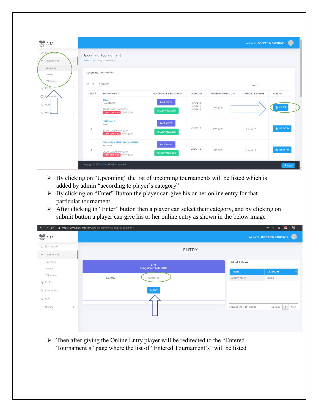| $\frac{1}{\sqrt{m}}$<br><b>AITA</b>                          |                         |                                                                                                                 |                                              |                                  |                    | Welcome, <b>BOOPATHY SAKTHIVEL</b> |                    |
|--------------------------------------------------------------|-------------------------|-----------------------------------------------------------------------------------------------------------------|----------------------------------------------|----------------------------------|--------------------|------------------------------------|--------------------|
| 命 Dashk<br>Tournament<br>ū<br>$\checkmark$                   |                         | <b>Upcoming Tournament</b><br>Home - Upcoming Tournament                                                        |                                              |                                  |                    |                                    |                    |
| Upcoming<br>Entered<br>Withdrawn<br><b>A</b> Profile<br>$\,$ | 10<br><b>IOW</b>        | <b>Upcoming Tournament</b><br>v entries                                                                         |                                              |                                  |                    | Search:                            |                    |
|                                                              | S.NO T                  | <b>TOURNAMENTS</b>                                                                                              | <b>ACCEPTANCE &amp; FACTSHEET</b>            | CATEGORY                         | WITHDRAW DEAD LINE | <b>FREEZE DEAD LINE</b>            | <b>ACTIONS</b>     |
| ⊙<br>rmatior<br>≨≣ Rule<br><sup>①</sup> Hist<br>$\,$         | 1                       | <b>AITA</b><br><b>BANGALORE.</b><br>START DATE: 19-07-2019<br><b>ENTRY DEAD LINE:</b> 17-07-2019.               | <b>FACT SHEET</b><br><b>ACCCEPTANCE LIST</b> | UNDER 12<br>UNDER 14<br>UNDER 16 | 17-07-2019         |                                    | <b>@ ENTER</b>     |
|                                                              | $\overline{2}$          | <b>NATIONALS</b><br>PUNE.<br>START DATE: 08-07-2019<br><b>ENTRY DEAD LINE:</b> 10-07-2019.                      | <b>FACT SHEET</b><br><b>ACCCEPTANCE LIST</b> | UNDER 16                         | 12-07-2019         | 13-07-2019                         | <b>Q3</b> RE ENTRY |
|                                                              | $\overline{\mathbf{3}}$ | <b>AITA SUPER SERIES TOURNAMENT</b><br>MUMBAI.<br>START DATE: 08-07-2019<br><b>ENTRY DEAD LINE: 10-07-2019.</b> | <b>FACT SHEET</b><br><b>ACCCEPTANCE LIST</b> | UNDER 18                         | 11-07-2019         | 13-07-2019                         | <b>Q3</b> RE ENTRY |
|                                                              |                         | Copyright © 2018 AITA, All rights reserved.                                                                     |                                              |                                  |                    |                                    | <b>A</b> HELP      |

- $\triangleright$  By clicking on "Upcoming" the list of upcoming tournaments will be listed which is added by admin "according to player's category"
- ➢ By clicking on "Enter" Button the player can give his or her online entry for that particular tournament
- ➢ After clicking in "Enter" button then a player can select their category, and by clicking on submit button a player can give his or her online entry as shown in the below image

| $\mathbf{C}$<br>$\rightarrow$<br>$\leftarrow$ | A https://www.aitatennis.com/aita_ors_mirror/tour_register.php?tid=1 |                                | $\begin{array}{ccc} \hline \textbf{u} & \textbf{0} & \textbf{0} \\ \hline \end{array}$<br>• Q ☆ |
|-----------------------------------------------|----------------------------------------------------------------------|--------------------------------|-------------------------------------------------------------------------------------------------|
| AITA                                          |                                                                      |                                | Welcome, <b>BOOPATHY SAKTHIVEL</b>                                                              |
| <b>命</b> Dashboard                            | <b>ENTRY</b>                                                         |                                |                                                                                                 |
| <b>□</b> Tournament<br>$\checkmark$           |                                                                      |                                |                                                                                                 |
| Upcoming<br>Entered                           | <b>AITA</b><br>bangalore, 19/07/2019                                 | List of Entries<br><b>NAME</b> | <b>CATEGORY</b>                                                                                 |
| Withdrawn                                     | Under 16<br>Category:                                                | AKSHAY AHUJA                   | UNDER 16                                                                                        |
| Profile<br>$\,$<br>(i) Information            | <b>SUBMIT</b>                                                        |                                |                                                                                                 |
| $\equiv$ Rule                                 |                                                                      |                                |                                                                                                 |
| <b>①</b> History<br>$\,$                      |                                                                      | Showing 1 to 1 of 1 entries    | Next<br>Previous<br>$\mathbf{1}$                                                                |
|                                               |                                                                      |                                |                                                                                                 |

➢ Then after giving the Online Entry player will be redirected to the "Entered Tournament's" page where the list of "Entered Tournament's" will be listed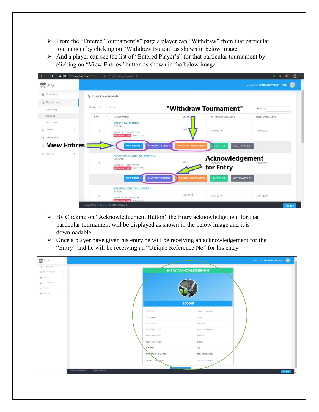- ➢ From the "Entered Tournament's" page a player can "Withdraw" from that particular tournament by clicking on "Withdraw Button" as shown in below image
- ➢ And a player can see the list of "Entered Player's" for that particular tournament by clicking on "View Entries" button as shown in the below image



- ➢ By Clicking on "Acknowledgement Button" the Entry acknowledgement for that particular tournament will be displayed as shown in the below image and it is downloadable
- $\triangleright$  Once a player have given his entry he will be receiving an acknowledgement for the "Entry" and he will be receiving an "Unique Reference No" for his entry

| AITA                                  |                         |                              | WELCOME, BOOPATHY SAKTHIVEL |
|---------------------------------------|-------------------------|------------------------------|-----------------------------|
| @ DASHBOARD<br>图 TOURNAMENT<br>$\geq$ |                         | <b>ENTRY ACKNOWLEDGEMENT</b> |                             |
| A PROFILE<br>$\rightarrow$            |                         |                              |                             |
| O INFORMATION                         |                         |                              |                             |
| 建 RULE                                |                         |                              |                             |
| S HISTORY<br>$\rightarrow$            |                         |                              |                             |
|                                       |                         | 400005                       |                             |
|                                       | FULL NAME:              | BOOPATHY SAKTHIVEL           |                             |
|                                       | ITN NUMBER:             | 400005                       |                             |
|                                       | DATE OF BIRTH:          | 11/01/2004                   |                             |
|                                       |                         |                              |                             |
|                                       | TOURNAMENT NAME:        | AITA 75 K TOURNAMENT         |                             |
|                                       | TOURNAMENT DATE         | 08/07/2019                   |                             |
|                                       | TOURNAMENT PLACE        | BHOPAL                       |                             |
|                                       | CATEGORY:               | MEN <sup>-</sup>             |                             |
|                                       | ENTRY REFERENCE NUMBER  | SSBPL080719-M-0004           |                             |
|                                       | DATE AND TIME OF ENTRY: | 02/07/2019 08:31:PM          |                             |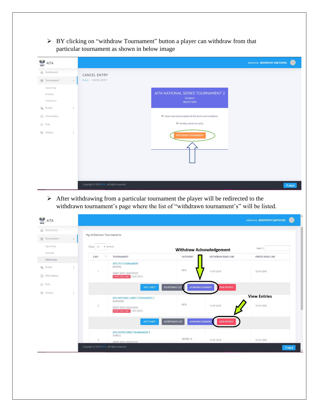➢ BY clicking on "withdraw Tournament" button a player can withdraw from that particular tournament as shown in below image

| AITA                                               |        |                                                                                               | Welcome, <b>BOOPATHY SAKTHIVEL</b> |
|----------------------------------------------------|--------|-----------------------------------------------------------------------------------------------|------------------------------------|
| d Dashboard<br>□ Tournament<br>Upcoming<br>Entered | $\vee$ | CANCEL ENTRY<br>Home - CANCEL ENTRY<br>AITA NATIONAL SERIES TOURNAMENT 2                      |                                    |
| Withdrawn<br>$P0$ Profile<br>(i) Information       | $\,$   | Gurgaon<br>08/07/2019<br>$\blacksquare$ I have read and accepted all the terms and conditions |                                    |
| ≨ Rule<br>D History                                | $\,$   | I hereby cancel my entry<br><b>WITHDRAW TOURNAMENT</b>                                        |                                    |
|                                                    |        |                                                                                               |                                    |
|                                                    |        | Copyright © 2018 AITA, All rights reserved.                                                   | <b>A</b> HELP                      |

➢ After withdrawing from a particular tournament the player will be redirected to the withdrawn tournament's page where the list of "withdrawn tournament's" will be listed.

| <b>OP</b> AITA                 |               |                                             |                                                                                                         |                                                  |                                 | Welcome, <b>BOOPATHY SAKTHIVEL</b> |
|--------------------------------|---------------|---------------------------------------------|---------------------------------------------------------------------------------------------------------|--------------------------------------------------|---------------------------------|------------------------------------|
| <b>命</b> Dashboard             |               |                                             |                                                                                                         |                                                  |                                 |                                    |
| <b>同</b> Tournament            | $\checkmark$  | My Withdrawn Tournaments                    |                                                                                                         |                                                  |                                 |                                    |
| Upcoming<br>Entered            |               | Show<br>10<br>v entries                     |                                                                                                         |                                                  | <b>Withdraw Aclnowledgement</b> | Search:                            |
| Withdrawn                      |               | T.<br>S.NO                                  | TOURNAMENT                                                                                              | CATEGORY                                         | WITHDRAW DEAD LINE              | <b>FREEZE DEAD LINE</b>            |
| & Profile<br>(i) Information   | $\mathcal{L}$ | $\cdot$ 1                                   | <b>AITA 75 K TOURNAMENT</b><br><b>BHOPAL</b><br>START DATE: 08/07/2019<br>ENTRY DEAD LINE: 10-07-2019.  | MEN                                              | 11-07-2019                      | 13-07-2019                         |
| 三 Rule<br><sup>①</sup> History | $\,$          |                                             | <b>FACT SHEET</b>                                                                                       | <b>ACCEPTANCE LIST</b><br><b>ACKNOWLEDGEMENT</b> | <b>VIEW ENTRIES</b>             |                                    |
|                                |               | $\overline{2}$                              | AITA NATIONAL SERIES TOURNAMENT 2<br>GURGAON.<br>START DATE: 08/07/2019<br>ENTRY DEAD LINE: 10-07-2019. | MEN                                              | 11-07-2019                      | <b>View Entries</b><br>13-07-2019  |
|                                |               |                                             | <b>FACT SHEET</b>                                                                                       | ACCEPTANCE LIST<br><b>ACKNOWLEDGEMENT</b>        | <b>VIEW ENTRIES</b>             |                                    |
|                                |               | $\overline{\mathbf{3}}$                     | AITA SUPER SERIES TOURNAMENT 2<br>SHIMLA.<br>START DATE: 08/07/2019                                     | UNDER 16                                         | 11-07-2019                      | 13-07-2019                         |
|                                |               | Copyright © 2018 AITA, All rights reserved. |                                                                                                         |                                                  |                                 | <b>A</b> HELP                      |